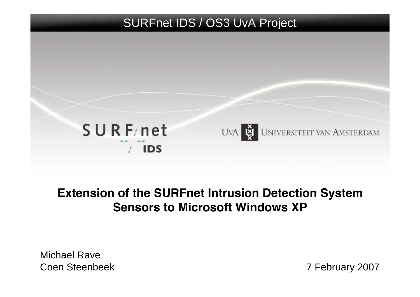

#### **Extension of the SURFnet Intrusion Detection System Sensors to Microsoft Windows XP**

Michael Rave Coen Steenbeek

7 February 2007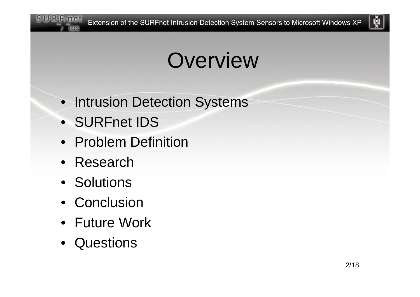

# **Overview**

- Intrusion Detection Systems
- SURFnet IDS
- Problem Definition
- Research
- Solutions
- Conclusion
- Future Work
- Questions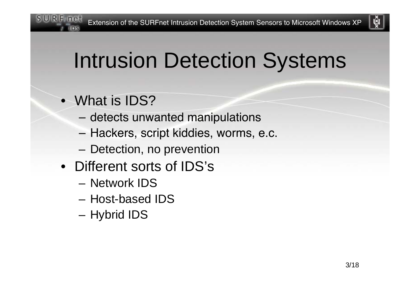

# Intrusion Detection Systems

• What is IDS?

- detects unwanted manipulations
- –Hackers, script kiddies, worms, e.c.
- Detection, no prevention
- Different sorts of IDS's
	- Network IDS
	- Host-based IDS
	- Hybrid IDS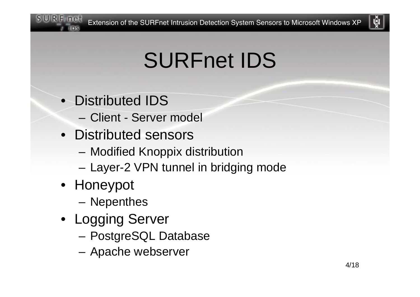# SURFnet IDS

• Distributed IDS

- Client Server model
- Distributed sensors
	- –Modified Knoppix distribution
	- –Layer-2 VPN tunnel in bridging mode
- Honeypot
	- **Nepenthes**
- Logging Server
	- –PostgreSQL Database
	- Apache webserver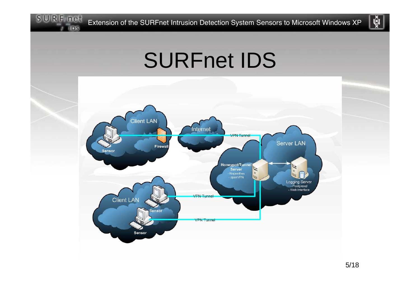

#### ψį

# SURFnet IDS



5/18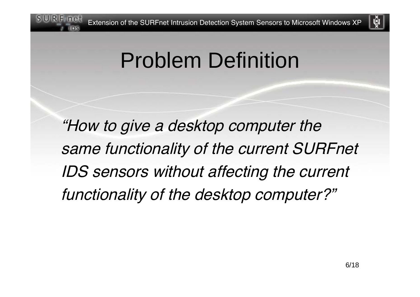



# Problem Definition

"How to give a desktop computer the same functionality of the current SURFnet IDS sensors without affecting the current functionality of the desktop computer?"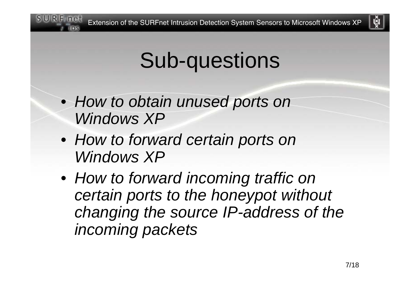# Sub-questions

• *How to obtain unused ports on Windows XP*

- *How to forward certain ports on Windows XP*
- *How to forward incoming traffic on certain ports to the honeypot without changing the source IP-address of the incoming packets*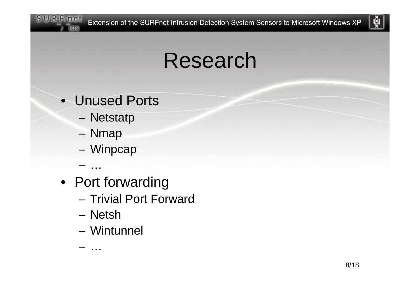



## Research

- Unused Ports
	- **Netstatp**
	- Nmap
	- Winpcap
	- …
- Port forwarding
	- Trivial Port Forward
	- Netsh
	- Wintunnel

…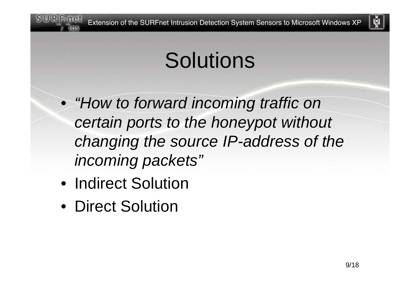# **Solutions**

- *"How to forward incoming traffic on certain ports to the honeypot without changing the source IP-address of the incoming packets"*
- Indirect Solution
- Direct Solution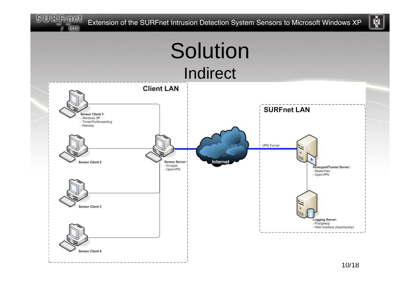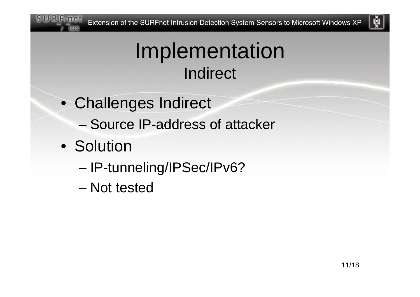

#### Implementation **Indirect**

- Challenges Indirect
	- Source IP-address of attacker
- Solution

- –IP-tunneling/IPSec/IPv6?
- Not tested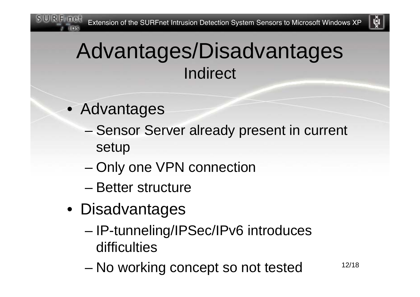

### Advantages/Disadvantages **Indirect**

• Advantages

- – Sensor Server already present in current setup
- –Only one VPN connection
- Better structure
- Disadvantages
	- – IP-tunneling/IPSec/IPv6 introduces difficulties
	- 12/18 –No working concept so not tested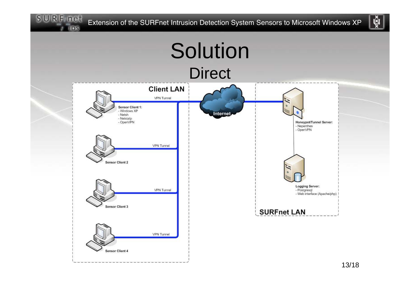

13/18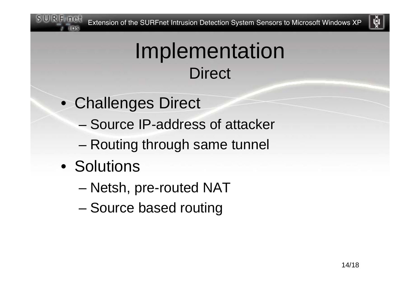

### Implementation **Direct**

- Challenges Direct
	- Source IP-address of attacker
	- –Routing through same tunnel
- Solutions

- –Netsh, pre-routed NAT
- –Source based routing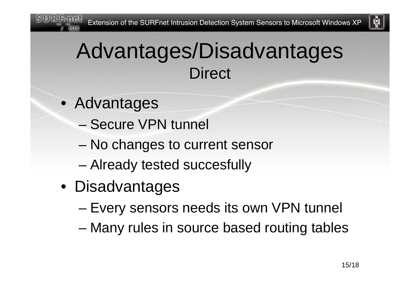

## Advantages/Disadvantages **Direct**

• Advantages

- Secure VPN tunnel
- –No changes to current sensor
- –Already tested succesfully
- Disadvantages
	- –Every sensors needs its own VPN tunnel
	- Many rules in source based routing tables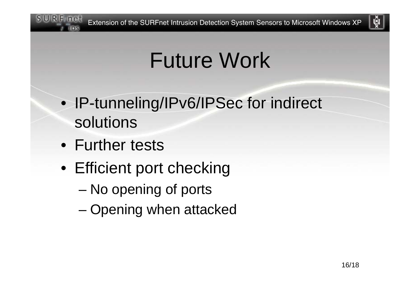

# Future Work

- IP-tunneling/IPv6/IPSec for indirect solutions
- Further tests

- Efficient port checking
	- –No opening of ports
	- –Opening when attacked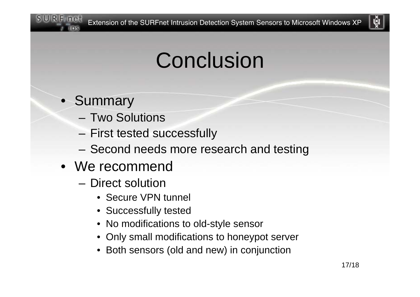

# **Conclusion**

- Summary
	- Two Solutions
	- First tested successfully
	- Second needs more research and testing
- We recommend
	- Direct solution
		- Secure VPN tunnel
		- Successfully tested
		- No modifications to old-style sensor
		- Only small modifications to honeypot server
		- Both sensors (old and new) in conjunction